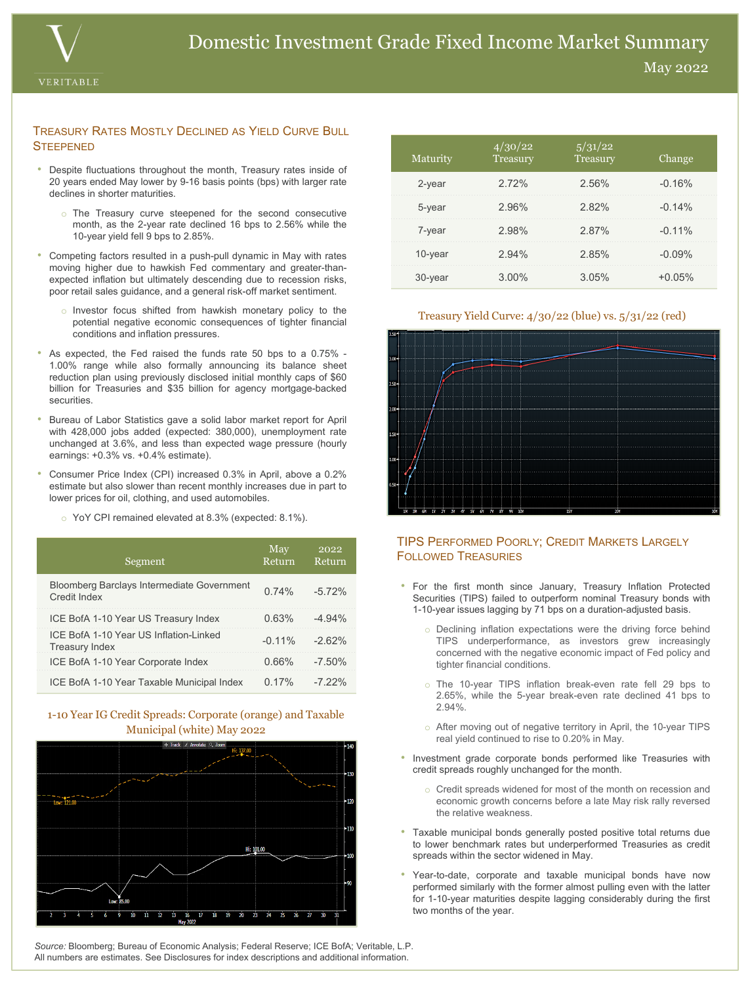

#### TREASURY RATES MOSTLY DECLINED AS YIELD CURVE BULL **STEEPENED**

- Despite fluctuations throughout the month, Treasury rates inside of 20 years ended May lower by 9-16 basis points (bps) with larger rate declines in shorter maturities.
	- o The Treasury curve steepened for the second consecutive month, as the 2-year rate declined 16 bps to 2.56% while the 10-year yield fell 9 bps to 2.85%.
- Competing factors resulted in a push-pull dynamic in May with rates moving higher due to hawkish Fed commentary and greater-thanexpected inflation but ultimately descending due to recession risks, poor retail sales guidance, and a general risk-off market sentiment.
	- o Investor focus shifted from hawkish monetary policy to the potential negative economic consequences of tighter financial conditions and inflation pressures.
- As expected, the Fed raised the funds rate 50 bps to a 0.75% 1.00% range while also formally announcing its balance sheet reduction plan using previously disclosed initial monthly caps of \$60 billion for Treasuries and \$35 billion for agency mortgage-backed securities.
- Bureau of Labor Statistics gave a solid labor market report for April with 428,000 jobs added (expected: 380,000), unemployment rate unchanged at 3.6%, and less than expected wage pressure (hourly earnings: +0.3% vs. +0.4% estimate).
- Consumer Price Index (CPI) increased 0.3% in April, above a 0.2% estimate but also slower than recent monthly increases due in part to lower prices for oil, clothing, and used automobiles.
	- o YoY CPI remained elevated at 8.3% (expected: 8.1%).

| Segment                                                           | May<br>Return | 2022<br>Return |
|-------------------------------------------------------------------|---------------|----------------|
| <b>Bloomberg Barclays Intermediate Government</b><br>Credit Index | 0.74%         | $-572%$        |
| ICE BofA 1-10 Year US Treasury Index                              | 0.63%         | $-4.94\%$      |
| ICE BofA 1-10 Year US Inflation-Linked<br><b>Treasury Index</b>   | $-0.11\%$     | $-262%$        |
| ICE BofA 1-10 Year Corporate Index                                | 0.66%         | $-7.50\%$      |
| ICE BofA 1-10 Year Taxable Municipal Index                        | 0.17%         | $-722%$        |

## 1-10 Year IG Credit Spreads: Corporate (orange) and Taxable Municipal (white) May 2022



| Maturity | 4/30/22<br>Treasury | 5/31/22<br>Treasury | Change    |
|----------|---------------------|---------------------|-----------|
| 2-year   | 2.72%               | 2.56%               | $-0.16%$  |
| 5-year   | 2.96%               | 2.82%               | $-0.14%$  |
| 7-year   | 2.98%               | 2.87%               | $-0.11%$  |
| 10-year  | 2.94%               | 2.85%               | $-0.09\%$ |
| 30-year  | $3.00\%$            | 3.05%               | $+0.05\%$ |

### Treasury Yield Curve: 4/30/22 (blue) vs. 5/31/22 (red)



## TIPS PERFORMED POORLY; CREDIT MARKETS LARGELY FOLLOWED TREASURIES

- For the first month since January, Treasury Inflation Protected Securities (TIPS) failed to outperform nominal Treasury bonds with 1-10-year issues lagging by 71 bps on a duration-adjusted basis.
	- o Declining inflation expectations were the driving force behind TIPS underperformance, as investors grew increasingly concerned with the negative economic impact of Fed policy and tighter financial conditions.
	- o The 10-year TIPS inflation break-even rate fell 29 bps to 2.65%, while the 5-year break-even rate declined 41 bps to 2.94%.
	- o After moving out of negative territory in April, the 10-year TIPS real yield continued to rise to 0.20% in May.
- Investment grade corporate bonds performed like Treasuries with credit spreads roughly unchanged for the month.
	- o Credit spreads widened for most of the month on recession and economic growth concerns before a late May risk rally reversed the relative weakness.
- Taxable municipal bonds generally posted positive total returns due to lower benchmark rates but underperformed Treasuries as credit spreads within the sector widened in May.
- Year-to-date, corporate and taxable municipal bonds have now performed similarly with the former almost pulling even with the latter for 1-10-year maturities despite lagging considerably during the first two months of the year.

*Source:* Bloomberg; Bureau of Economic Analysis; Federal Reserve; ICE BofA; Veritable, L.P. All numbers are estimates. See Disclosures for index descriptions and additional information.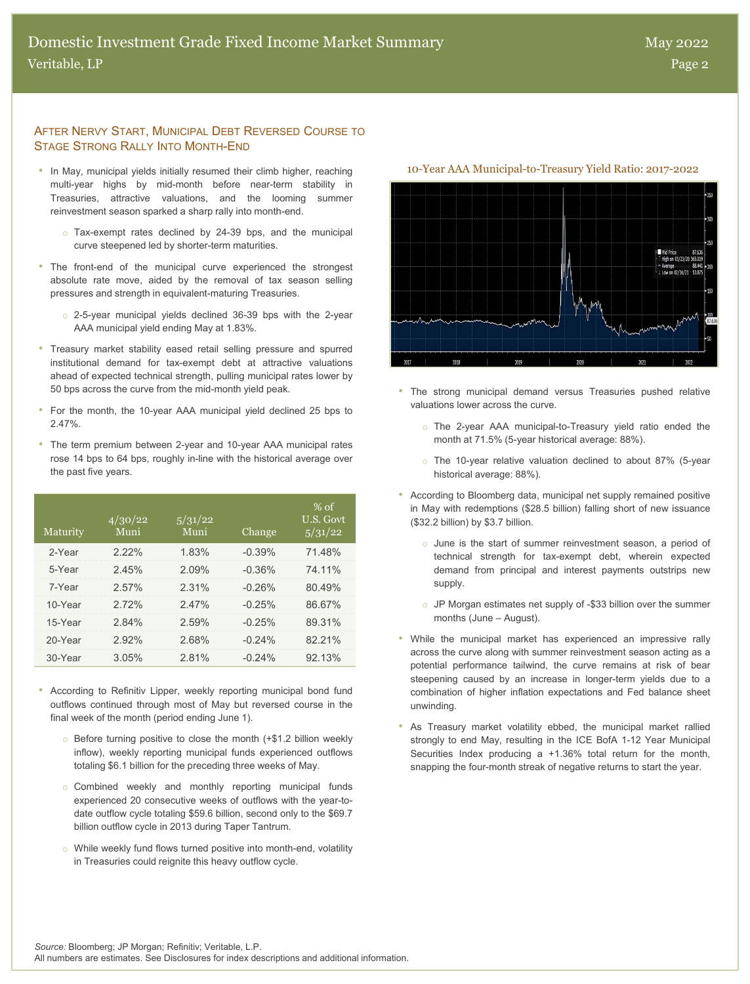#### AFTER NERVY START, MUNICIPAL DEBT REVERSED COURSE TO STAGE STRONG RALLY INTO MONTH-END

- In May, municipal yields initially resumed their climb higher, reaching 10-Year AAA Municipal-to-Treasury Yield Ratio: 2017-2022 multi-year highs by mid-month before near-term stability in Treasuries, attractive valuations, and the looming summer reinvestment season sparked a sharp rally into month-end.
	- o Tax-exempt rates declined by 24-39 bps, and the municipal curve steepened led by shorter-term maturities.
- The front-end of the municipal curve experienced the strongest absolute rate move, aided by the removal of tax season selling pressures and strength in equivalent-maturing Treasuries.
	- o 2-5-year municipal yields declined 36-39 bps with the 2-year AAA municipal yield ending May at 1.83%.
- Treasury market stability eased retail selling pressure and spurred institutional demand for tax-exempt debt at attractive valuations ahead of expected technical strength, pulling municipal rates lower by 50 bps across the curve from the mid-month yield peak.
- For the month, the 10-year AAA municipal yield declined 25 bps to 2.47%.
- The term premium between 2-year and 10-year AAA municipal rates rose 14 bps to 64 bps, roughly in-line with the historical average over the past five years.

| Maturity | 4/30/22<br>Muni | 5/31/22<br>Muni | Change    | $%$ of<br>U.S. Govt<br>5/31/22 |
|----------|-----------------|-----------------|-----------|--------------------------------|
| 2-Year   | 222%            | 1.83%           | $-0.39%$  | 71 48%                         |
| 5-Year   | 245%            | $2.09\%$        | $-0.36%$  | 74 11%                         |
| 7-Year   | 2.57%           | 2.31%           | $-0.26%$  | 80 49%                         |
| 10-Year  | 272%            | 247%            | $-0.25%$  | 86 67%                         |
| 15-Year  | 284%            | 2.59%           | $-0.25%$  | 89 31%                         |
| 20-Year  | $2.92\%$        | 268%            | $-0.24\%$ | 82 21%                         |
| 30-Year  | 3.05%           | 2.81%           | $-0.24\%$ | 9213%                          |

- According to Refinitiv Lipper, weekly reporting municipal bond fund outflows continued through most of May but reversed course in the final week of the month (period ending June 1).
	- o Before turning positive to close the month (+\$1.2 billion weekly inflow), weekly reporting municipal funds experienced outflows totaling \$6.1 billion for the preceding three weeks of May.
	- o Combined weekly and monthly reporting municipal funds experienced 20 consecutive weeks of outflows with the year-todate outflow cycle totaling \$59.6 billion, second only to the \$69.7 billion outflow cycle in 2013 during Taper Tantrum.
	- o While weekly fund flows turned positive into month-end, volatility in Treasuries could reignite this heavy outflow cycle.



- The strong municipal demand versus Treasuries pushed relative valuations lower across the curve.
	- o The 2-year AAA municipal-to-Treasury yield ratio ended the month at 71.5% (5-year historical average: 88%).
	- o The 10-year relative valuation declined to about 87% (5-year historical average: 88%).
- According to Bloomberg data, municipal net supply remained positive in May with redemptions (\$28.5 billion) falling short of new issuance (\$32.2 billion) by \$3.7 billion.
	- o June is the start of summer reinvestment season, a period of technical strength for tax-exempt debt, wherein expected demand from principal and interest payments outstrips new supply.
	- o JP Morgan estimates net supply of -\$33 billion over the summer months (June – August).
- While the municipal market has experienced an impressive rally across the curve along with summer reinvestment season acting as a potential performance tailwind, the curve remains at risk of bear steepening caused by an increase in longer-term yields due to a combination of higher inflation expectations and Fed balance sheet unwinding.
- As Treasury market volatility ebbed, the municipal market rallied strongly to end May, resulting in the ICE BofA 1-12 Year Municipal Securities Index producing a +1.36% total return for the month, snapping the four-month streak of negative returns to start the year.